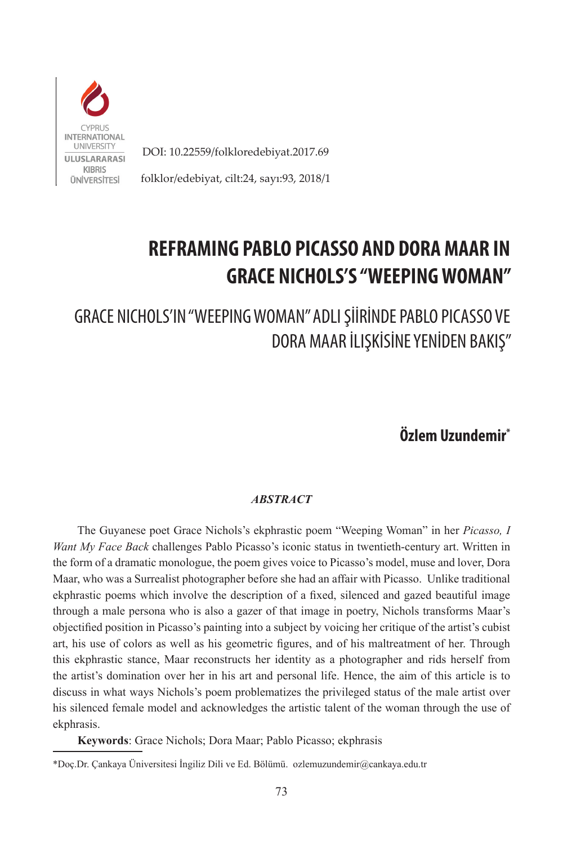

DOI: 10.22559/folkloredebiyat.2017.69

folklor/edebiyat, cilt:24, sayı:93, 2018/1

## **REFRAMING PABLO PICASSO AND DORA MAAR IN GRACE NICHOLS'S "WEEPING WOMAN"**

GRACE NICHOLS'IN "WEEPING WOMAN" ADLI ŞİİRİNDE PABLO PICASSO VE DORA MAAR İLIŞKİSİNE YENİDEN BAKIŞ"

**Özlem Uzundemir\***

## *ABSTRACT*

The Guyanese poet Grace Nichols's ekphrastic poem "Weeping Woman" in her *Picasso, I Want My Face Back* challenges Pablo Picasso's iconic status in twentieth-century art. Written in the form of a dramatic monologue, the poem gives voice to Picasso's model, muse and lover, Dora Maar, who was a Surrealist photographer before she had an affair with Picasso. Unlike traditional ekphrastic poems which involve the description of a fixed, silenced and gazed beautiful image through a male persona who is also a gazer of that image in poetry, Nichols transforms Maar's objectified position in Picasso's painting into a subject by voicing her critique of the artist's cubist art, his use of colors as well as his geometric figures, and of his maltreatment of her. Through this ekphrastic stance, Maar reconstructs her identity as a photographer and rids herself from the artist's domination over her in his art and personal life. Hence, the aim of this article is to discuss in what ways Nichols's poem problematizes the privileged status of the male artist over his silenced female model and acknowledges the artistic talent of the woman through the use of ekphrasis.

**Keywords**: Grace Nichols; Dora Maar; Pablo Picasso; ekphrasis

<sup>\*</sup>Doç.Dr. Çankaya Üniversitesi İngiliz Dili ve Ed. Bölümü. ozlemuzundemir@cankaya.edu.tr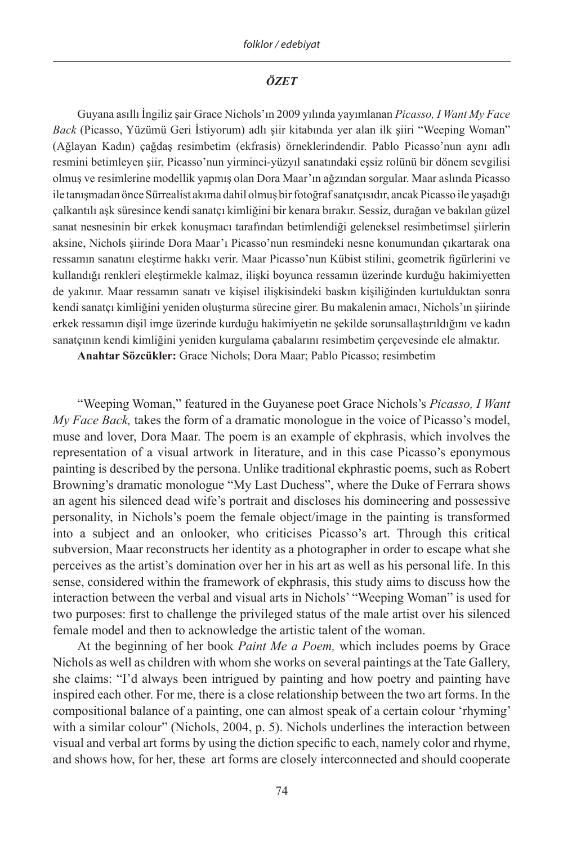## *ÖZET*

Guyana asıllı İngiliz şair Grace Nichols'ın 2009 yılında yayımlanan *Picasso, I Want My Face Back* (Picasso, Yüzümü Geri İstiyorum) adlı şiir kitabında yer alan ilk şiiri "Weeping Woman" (Ağlayan Kadın) çağdaş resimbetim (ekfrasis) örneklerindendir. Pablo Picasso'nun aynı adlı resmini betimleyen şiir, Picasso'nun yirminci-yüzyıl sanatındaki eşsiz rolünü bir dönem sevgilisi olmuş ve resimlerine modellik yapmış olan Dora Maar'ın ağzından sorgular. Maar aslında Picasso ile tanışmadan önce Sürrealist akıma dahil olmuş bir fotoğraf sanatçısıdır, ancak Picasso ile yaşadığı çalkantılı aşk süresince kendi sanatçı kimliğini bir kenara bırakır. Sessiz, durağan ve bakılan güzel sanat nesnesinin bir erkek konuşmacı tarafından betimlendiği geleneksel resimbetimsel şiirlerin aksine, Nichols şiirinde Dora Maar'ı Picasso'nun resmindeki nesne konumundan çıkartarak ona ressamın sanatını eleştirme hakkı verir. Maar Picasso'nun Kübist stilini, geometrik figürlerini ve kullandığı renkleri eleştirmekle kalmaz, ilişki boyunca ressamın üzerinde kurduğu hakimiyetten de yakınır. Maar ressamın sanatı ve kişisel ilişkisindeki baskın kişiliğinden kurtulduktan sonra kendi sanatçı kimliğini yeniden oluşturma sürecine girer. Bu makalenin amacı, Nichols'ın şiirinde erkek ressamın dişil imge üzerinde kurduğu hakimiyetin ne şekilde sorunsallaştırıldığını ve kadın sanatçının kendi kimliğini yeniden kurgulama çabalarını resimbetim çerçevesinde ele almaktır.

**Anahtar Sözcükler:** Grace Nichols; Dora Maar; Pablo Picasso; resimbetim

"Weeping Woman," featured in the Guyanese poet Grace Nichols's *Picasso, I Want My Face Back,* takes the form of a dramatic monologue in the voice of Picasso's model, muse and lover, Dora Maar. The poem is an example of ekphrasis, which involves the representation of a visual artwork in literature, and in this case Picasso's eponymous painting is described by the persona. Unlike traditional ekphrastic poems, such as Robert Browning's dramatic monologue "My Last Duchess", where the Duke of Ferrara shows an agent his silenced dead wife's portrait and discloses his domineering and possessive personality, in Nichols's poem the female object/image in the painting is transformed into a subject and an onlooker, who criticises Picasso's art. Through this critical subversion, Maar reconstructs her identity as a photographer in order to escape what she perceives as the artist's domination over her in his art as well as his personal life. In this sense, considered within the framework of ekphrasis, this study aims to discuss how the interaction between the verbal and visual arts in Nichols' "Weeping Woman" is used for two purposes: first to challenge the privileged status of the male artist over his silenced female model and then to acknowledge the artistic talent of the woman.

At the beginning of her book *Paint Me a Poem,* which includes poems by Grace Nichols as well as children with whom she works on several paintings at the Tate Gallery, she claims: "I'd always been intrigued by painting and how poetry and painting have inspired each other. For me, there is a close relationship between the two art forms. In the compositional balance of a painting, one can almost speak of a certain colour 'rhyming' with a similar colour" (Nichols, 2004, p. 5). Nichols underlines the interaction between visual and verbal art forms by using the diction specific to each, namely color and rhyme, and shows how, for her, these art forms are closely interconnected and should cooperate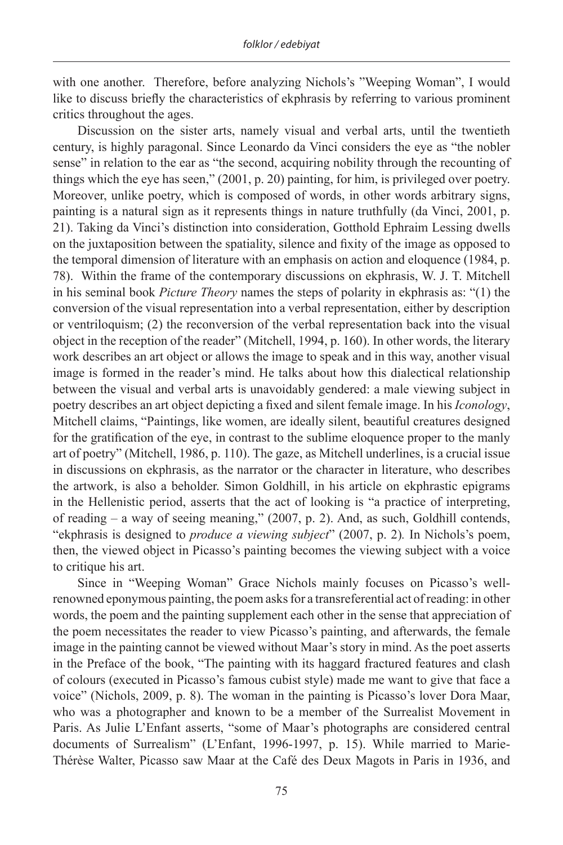with one another. Therefore, before analyzing Nichols's "Weeping Woman", I would like to discuss briefly the characteristics of ekphrasis by referring to various prominent critics throughout the ages.

Discussion on the sister arts, namely visual and verbal arts, until the twentieth century, is highly paragonal. Since Leonardo da Vinci considers the eye as "the nobler sense" in relation to the ear as "the second, acquiring nobility through the recounting of things which the eye has seen," (2001, p. 20) painting, for him, is privileged over poetry. Moreover, unlike poetry, which is composed of words, in other words arbitrary signs, painting is a natural sign as it represents things in nature truthfully (da Vinci, 2001, p. 21). Taking da Vinci's distinction into consideration, Gotthold Ephraim Lessing dwells on the juxtaposition between the spatiality, silence and fixity of the image as opposed to the temporal dimension of literature with an emphasis on action and eloquence (1984, p. 78). Within the frame of the contemporary discussions on ekphrasis, W. J. T. Mitchell in his seminal book *Picture Theory* names the steps of polarity in ekphrasis as: "(1) the conversion of the visual representation into a verbal representation, either by description or ventriloquism; (2) the reconversion of the verbal representation back into the visual object in the reception of the reader" (Mitchell, 1994, p. 160). In other words, the literary work describes an art object or allows the image to speak and in this way, another visual image is formed in the reader's mind. He talks about how this dialectical relationship between the visual and verbal arts is unavoidably gendered: a male viewing subject in poetry describes an art object depicting a fixed and silent female image. In his *Iconology*, Mitchell claims, "Paintings, like women, are ideally silent, beautiful creatures designed for the gratification of the eye, in contrast to the sublime eloquence proper to the manly art of poetry" (Mitchell, 1986, p. 110). The gaze, as Mitchell underlines, is a crucial issue in discussions on ekphrasis, as the narrator or the character in literature, who describes the artwork, is also a beholder. Simon Goldhill, in his article on ekphrastic epigrams in the Hellenistic period, asserts that the act of looking is "a practice of interpreting, of reading – a way of seeing meaning," (2007, p. 2). And, as such, Goldhill contends, "ekphrasis is designed to *produce a viewing subject*" (2007, p. 2)*.* In Nichols's poem, then, the viewed object in Picasso's painting becomes the viewing subject with a voice to critique his art.

Since in "Weeping Woman" Grace Nichols mainly focuses on Picasso's wellrenowned eponymous painting, the poem asks for a transreferential act of reading: in other words, the poem and the painting supplement each other in the sense that appreciation of the poem necessitates the reader to view Picasso's painting, and afterwards, the female image in the painting cannot be viewed without Maar's story in mind. As the poet asserts in the Preface of the book, "The painting with its haggard fractured features and clash of colours (executed in Picasso's famous cubist style) made me want to give that face a voice" (Nichols, 2009, p. 8). The woman in the painting is Picasso's lover Dora Maar, who was a photographer and known to be a member of the Surrealist Movement in Paris. As Julie L'Enfant asserts, "some of Maar's photographs are considered central documents of Surrealism" (L'Enfant, 1996-1997, p. 15). While married to Marie-Thérèse Walter, Picasso saw Maar at the Café des Deux Magots in Paris in 1936, and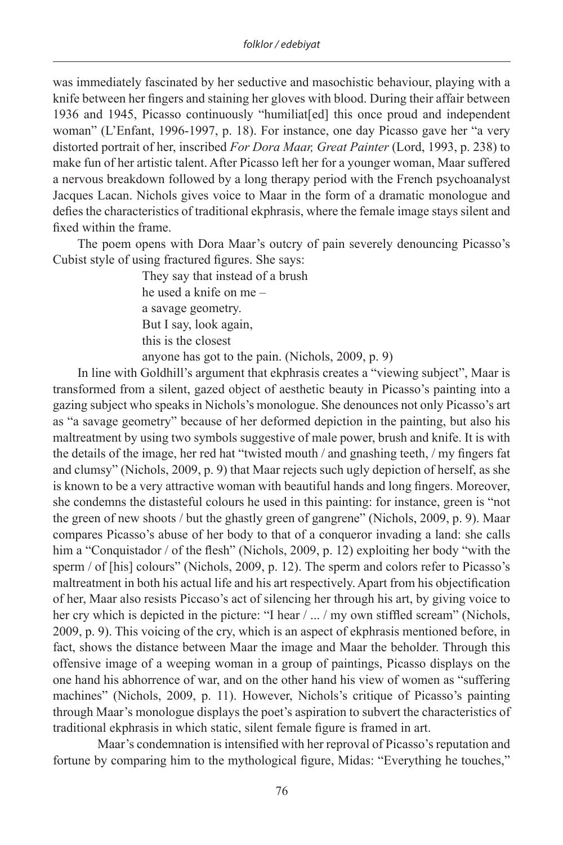was immediately fascinated by her seductive and masochistic behaviour, playing with a knife between her fingers and staining her gloves with blood. During their affair between 1936 and 1945, Picasso continuously "humiliat[ed] this once proud and independent woman" (L'Enfant, 1996-1997, p. 18). For instance, one day Picasso gave her "a very distorted portrait of her, inscribed *For Dora Maar, Great Painter* (Lord, 1993, p. 238) to make fun of her artistic talent. After Picasso left her for a younger woman, Maar suffered a nervous breakdown followed by a long therapy period with the French psychoanalyst Jacques Lacan. Nichols gives voice to Maar in the form of a dramatic monologue and defies the characteristics of traditional ekphrasis, where the female image stays silent and fixed within the frame.

The poem opens with Dora Maar's outcry of pain severely denouncing Picasso's Cubist style of using fractured figures. She says:

> They say that instead of a brush he used a knife on me – a savage geometry. But I say, look again, this is the closest anyone has got to the pain. (Nichols, 2009, p. 9)

In line with Goldhill's argument that ekphrasis creates a "viewing subject", Maar is transformed from a silent, gazed object of aesthetic beauty in Picasso's painting into a gazing subject who speaks in Nichols's monologue. She denounces not only Picasso's art as "a savage geometry" because of her deformed depiction in the painting, but also his maltreatment by using two symbols suggestive of male power, brush and knife. It is with the details of the image, her red hat "twisted mouth / and gnashing teeth, / my fingers fat and clumsy" (Nichols, 2009, p. 9) that Maar rejects such ugly depiction of herself, as she is known to be a very attractive woman with beautiful hands and long fingers. Moreover, she condemns the distasteful colours he used in this painting: for instance, green is "not the green of new shoots / but the ghastly green of gangrene" (Nichols, 2009, p. 9). Maar compares Picasso's abuse of her body to that of a conqueror invading a land: she calls him a "Conquistador / of the flesh" (Nichols, 2009, p. 12) exploiting her body "with the sperm / of [his] colours" (Nichols, 2009, p. 12). The sperm and colors refer to Picasso's maltreatment in both his actual life and his art respectively. Apart from his objectification of her, Maar also resists Piccaso's act of silencing her through his art, by giving voice to her cry which is depicted in the picture: "I hear / ... / my own stiffled scream" (Nichols, 2009, p. 9). This voicing of the cry, which is an aspect of ekphrasis mentioned before, in fact, shows the distance between Maar the image and Maar the beholder. Through this offensive image of a weeping woman in a group of paintings, Picasso displays on the one hand his abhorrence of war, and on the other hand his view of women as "suffering machines" (Nichols, 2009, p. 11). However, Nichols's critique of Picasso's painting through Maar's monologue displays the poet's aspiration to subvert the characteristics of traditional ekphrasis in which static, silent female figure is framed in art.

Maar's condemnation is intensified with her reproval of Picasso's reputation and fortune by comparing him to the mythological figure, Midas: "Everything he touches,"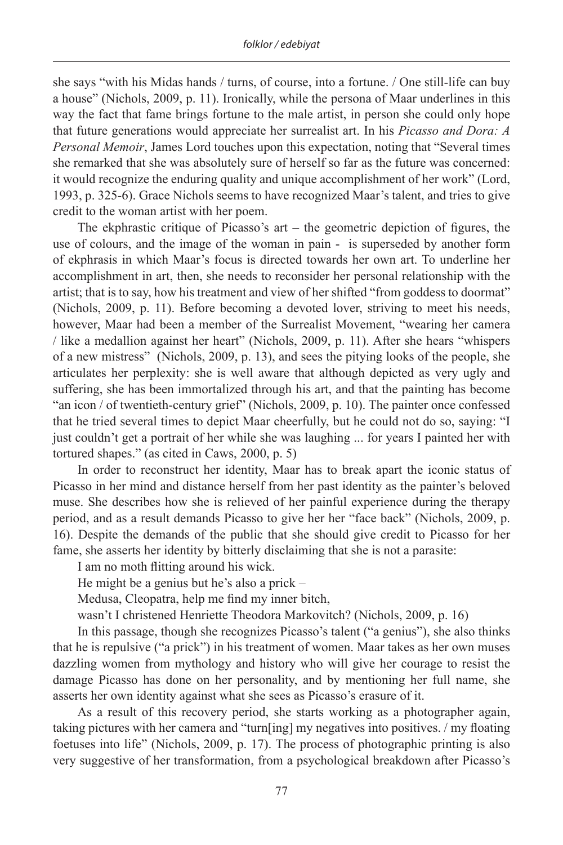she says "with his Midas hands / turns, of course, into a fortune. / One still-life can buy a house" (Nichols, 2009, p. 11). Ironically, while the persona of Maar underlines in this way the fact that fame brings fortune to the male artist, in person she could only hope that future generations would appreciate her surrealist art. In his *Picasso and Dora: A Personal Memoir*, James Lord touches upon this expectation, noting that "Several times she remarked that she was absolutely sure of herself so far as the future was concerned: it would recognize the enduring quality and unique accomplishment of her work" (Lord, 1993, p. 325-6). Grace Nichols seems to have recognized Maar's talent, and tries to give credit to the woman artist with her poem.

The ekphrastic critique of Picasso's art  $-$  the geometric depiction of figures, the use of colours, and the image of the woman in pain - is superseded by another form of ekphrasis in which Maar's focus is directed towards her own art. To underline her accomplishment in art, then, she needs to reconsider her personal relationship with the artist; that is to say, how his treatment and view of her shifted "from goddess to doormat" (Nichols, 2009, p. 11). Before becoming a devoted lover, striving to meet his needs, however, Maar had been a member of the Surrealist Movement, "wearing her camera / like a medallion against her heart" (Nichols, 2009, p. 11). After she hears "whispers of a new mistress" (Nichols, 2009, p. 13), and sees the pitying looks of the people, she articulates her perplexity: she is well aware that although depicted as very ugly and suffering, she has been immortalized through his art, and that the painting has become "an icon / of twentieth-century grief" (Nichols, 2009, p. 10). The painter once confessed that he tried several times to depict Maar cheerfully, but he could not do so, saying: "I just couldn't get a portrait of her while she was laughing ... for years I painted her with tortured shapes." (as cited in Caws, 2000, p. 5)

In order to reconstruct her identity, Maar has to break apart the iconic status of Picasso in her mind and distance herself from her past identity as the painter's beloved muse. She describes how she is relieved of her painful experience during the therapy period, and as a result demands Picasso to give her her "face back" (Nichols, 2009, p. 16). Despite the demands of the public that she should give credit to Picasso for her fame, she asserts her identity by bitterly disclaiming that she is not a parasite:

I am no moth flitting around his wick.

He might be a genius but he's also a prick –

Medusa, Cleopatra, help me find my inner bitch,

wasn't I christened Henriette Theodora Markovitch? (Nichols, 2009, p. 16)

In this passage, though she recognizes Picasso's talent ("a genius"), she also thinks that he is repulsive ("a prick") in his treatment of women. Maar takes as her own muses dazzling women from mythology and history who will give her courage to resist the damage Picasso has done on her personality, and by mentioning her full name, she asserts her own identity against what she sees as Picasso's erasure of it.

As a result of this recovery period, she starts working as a photographer again, taking pictures with her camera and "turn[ing] my negatives into positives. / my floating foetuses into life" (Nichols, 2009, p. 17). The process of photographic printing is also very suggestive of her transformation, from a psychological breakdown after Picasso's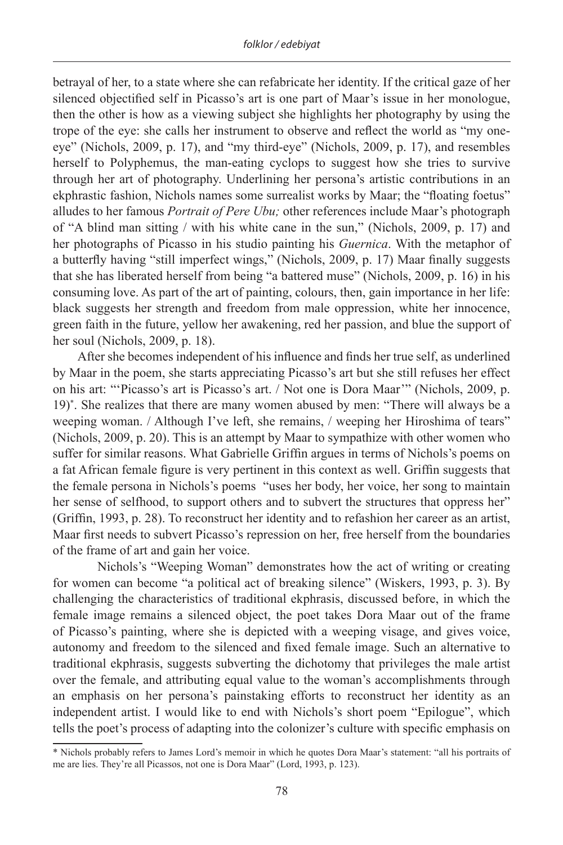betrayal of her, to a state where she can refabricate her identity. If the critical gaze of her silenced objectified self in Picasso's art is one part of Maar's issue in her monologue, then the other is how as a viewing subject she highlights her photography by using the trope of the eye: she calls her instrument to observe and reflect the world as "my oneeye" (Nichols, 2009, p. 17), and "my third-eye" (Nichols, 2009, p. 17), and resembles herself to Polyphemus, the man-eating cyclops to suggest how she tries to survive through her art of photography. Underlining her persona's artistic contributions in an ekphrastic fashion, Nichols names some surrealist works by Maar; the "floating foetus" alludes to her famous *Portrait of Pere Ubu;* other references include Maar's photograph of "A blind man sitting / with his white cane in the sun," (Nichols, 2009, p. 17) and her photographs of Picasso in his studio painting his *Guernica*. With the metaphor of a butterfly having "still imperfect wings," (Nichols, 2009, p. 17) Maar finally suggests that she has liberated herself from being "a battered muse" (Nichols, 2009, p. 16) in his consuming love. As part of the art of painting, colours, then, gain importance in her life: black suggests her strength and freedom from male oppression, white her innocence, green faith in the future, yellow her awakening, red her passion, and blue the support of her soul (Nichols, 2009, p. 18).

After she becomes independent of his influence and finds her true self, as underlined by Maar in the poem, she starts appreciating Picasso's art but she still refuses her effect on his art: "'Picasso's art is Picasso's art. / Not one is Dora Maar'" (Nichols, 2009, p. 19)\* . She realizes that there are many women abused by men: "There will always be a weeping woman. / Although I've left, she remains, / weeping her Hiroshima of tears" (Nichols, 2009, p. 20). This is an attempt by Maar to sympathize with other women who suffer for similar reasons. What Gabrielle Griffin argues in terms of Nichols's poems on a fat African female figure is very pertinent in this context as well. Griffin suggests that the female persona in Nichols's poems "uses her body, her voice, her song to maintain her sense of selfhood, to support others and to subvert the structures that oppress her" (Griffin, 1993, p. 28). To reconstruct her identity and to refashion her career as an artist, Maar first needs to subvert Picasso's repression on her, free herself from the boundaries of the frame of art and gain her voice.

Nichols's "Weeping Woman" demonstrates how the act of writing or creating for women can become "a political act of breaking silence" (Wiskers, 1993, p. 3). By challenging the characteristics of traditional ekphrasis, discussed before, in which the female image remains a silenced object, the poet takes Dora Maar out of the frame of Picasso's painting, where she is depicted with a weeping visage, and gives voice, autonomy and freedom to the silenced and fixed female image. Such an alternative to traditional ekphrasis, suggests subverting the dichotomy that privileges the male artist over the female, and attributing equal value to the woman's accomplishments through an emphasis on her persona's painstaking efforts to reconstruct her identity as an independent artist. I would like to end with Nichols's short poem "Epilogue", which tells the poet's process of adapting into the colonizer's culture with specific emphasis on

<sup>\*</sup> Nichols probably refers to James Lord's memoir in which he quotes Dora Maar's statement: "all his portraits of me are lies. They're all Picassos, not one is Dora Maar" (Lord, 1993, p. 123).